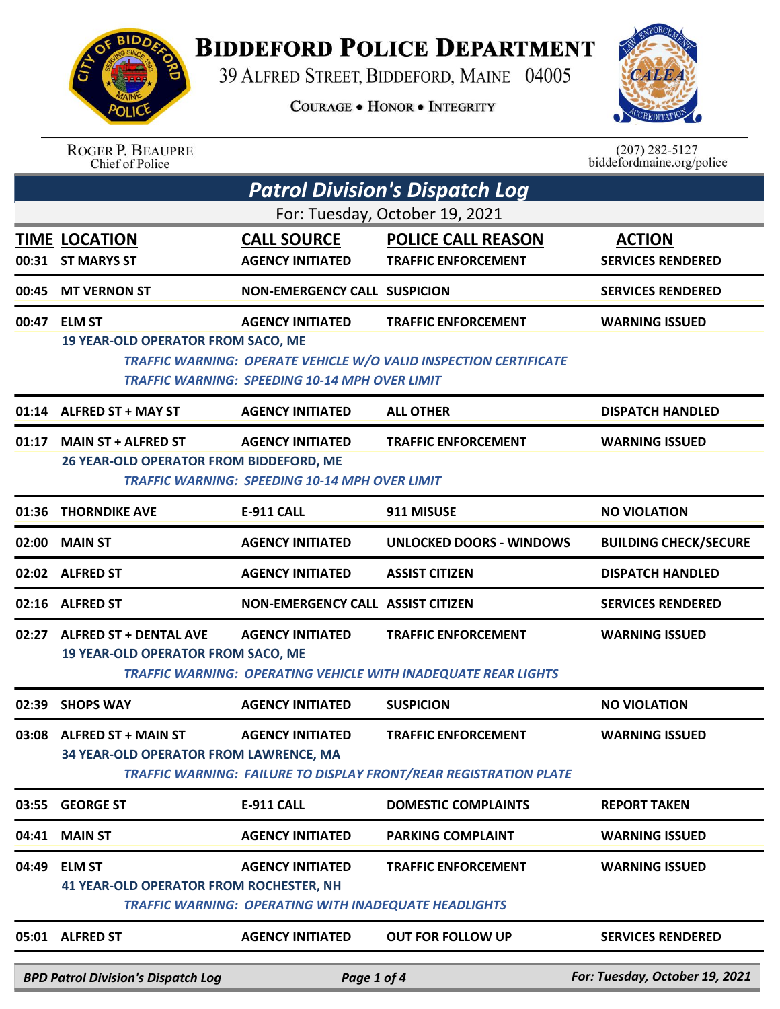## **BIDDEFORD POLICE DEPARTMENT**

39 ALFRED STREET, BIDDEFORD, MAINE 04005

**COURAGE . HONOR . INTEGRITY** 



| <b>ROGER P. BEAUPRE</b> |  |
|-------------------------|--|
| Chief of Police         |  |

 $(207)$  282-5127<br>biddefordmaine.org/police

|       | <b>Patrol Division's Dispatch Log</b>                                                                                                                                          |                                                                                  |                                                                                                        |                                           |  |
|-------|--------------------------------------------------------------------------------------------------------------------------------------------------------------------------------|----------------------------------------------------------------------------------|--------------------------------------------------------------------------------------------------------|-------------------------------------------|--|
|       | For: Tuesday, October 19, 2021                                                                                                                                                 |                                                                                  |                                                                                                        |                                           |  |
|       | <b>TIME LOCATION</b><br>00:31 ST MARYS ST                                                                                                                                      | <b>CALL SOURCE</b><br><b>AGENCY INITIATED</b>                                    | <b>POLICE CALL REASON</b><br><b>TRAFFIC ENFORCEMENT</b>                                                | <b>ACTION</b><br><b>SERVICES RENDERED</b> |  |
|       | 00:45 MT VERNON ST                                                                                                                                                             | <b>NON-EMERGENCY CALL SUSPICION</b>                                              |                                                                                                        | <b>SERVICES RENDERED</b>                  |  |
|       | 00:47 ELM ST                                                                                                                                                                   | <b>AGENCY INITIATED</b>                                                          | <b>TRAFFIC ENFORCEMENT</b>                                                                             | <b>WARNING ISSUED</b>                     |  |
|       | <b>19 YEAR-OLD OPERATOR FROM SACO, ME</b><br><b>TRAFFIC WARNING: OPERATE VEHICLE W/O VALID INSPECTION CERTIFICATE</b><br><b>TRAFFIC WARNING: SPEEDING 10-14 MPH OVER LIMIT</b> |                                                                                  |                                                                                                        |                                           |  |
|       | 01:14 ALFRED ST + MAY ST                                                                                                                                                       | <b>AGENCY INITIATED</b>                                                          | <b>ALL OTHER</b>                                                                                       | <b>DISPATCH HANDLED</b>                   |  |
|       | 01:17 MAIN ST + ALFRED ST<br>26 YEAR-OLD OPERATOR FROM BIDDEFORD, ME                                                                                                           | <b>AGENCY INITIATED</b><br><b>TRAFFIC WARNING: SPEEDING 10-14 MPH OVER LIMIT</b> | <b>TRAFFIC ENFORCEMENT</b>                                                                             | <b>WARNING ISSUED</b>                     |  |
| 01:36 | <b>THORNDIKE AVE</b>                                                                                                                                                           | <b>E-911 CALL</b>                                                                | 911 MISUSE                                                                                             | <b>NO VIOLATION</b>                       |  |
| 02:00 | <b>MAIN ST</b>                                                                                                                                                                 | <b>AGENCY INITIATED</b>                                                          | <b>UNLOCKED DOORS - WINDOWS</b>                                                                        | <b>BUILDING CHECK/SECURE</b>              |  |
|       | 02:02 ALFRED ST                                                                                                                                                                | <b>AGENCY INITIATED</b>                                                          | <b>ASSIST CITIZEN</b>                                                                                  | <b>DISPATCH HANDLED</b>                   |  |
|       | 02:16 ALFRED ST                                                                                                                                                                | NON-EMERGENCY CALL ASSIST CITIZEN                                                |                                                                                                        | <b>SERVICES RENDERED</b>                  |  |
|       | 02:27 ALFRED ST + DENTAL AVE<br><b>19 YEAR-OLD OPERATOR FROM SACO, ME</b>                                                                                                      | <b>AGENCY INITIATED</b>                                                          | <b>TRAFFIC ENFORCEMENT</b><br><b>TRAFFIC WARNING: OPERATING VEHICLE WITH INADEQUATE REAR LIGHTS</b>    | <b>WARNING ISSUED</b>                     |  |
|       | 02:39 SHOPS WAY                                                                                                                                                                | <b>AGENCY INITIATED</b>                                                          | <b>SUSPICION</b>                                                                                       | <b>NO VIOLATION</b>                       |  |
|       | 03:08 ALFRED ST + MAIN ST<br>34 YEAR-OLD OPERATOR FROM LAWRENCE, MA                                                                                                            | <b>AGENCY INITIATED</b>                                                          | <b>TRAFFIC ENFORCEMENT</b><br><b>TRAFFIC WARNING: FAILURE TO DISPLAY FRONT/REAR REGISTRATION PLATE</b> | <b>WARNING ISSUED</b>                     |  |
| 03:55 | <b>GEORGE ST</b>                                                                                                                                                               | <b>E-911 CALL</b>                                                                | <b>DOMESTIC COMPLAINTS</b>                                                                             | <b>REPORT TAKEN</b>                       |  |
| 04:41 | <b>MAIN ST</b>                                                                                                                                                                 | <b>AGENCY INITIATED</b>                                                          | <b>PARKING COMPLAINT</b>                                                                               | <b>WARNING ISSUED</b>                     |  |
| 04:49 | <b>ELM ST</b>                                                                                                                                                                  | <b>AGENCY INITIATED</b>                                                          | <b>TRAFFIC ENFORCEMENT</b>                                                                             | <b>WARNING ISSUED</b>                     |  |
|       | <b>41 YEAR-OLD OPERATOR FROM ROCHESTER, NH</b><br><b>TRAFFIC WARNING: OPERATING WITH INADEQUATE HEADLIGHTS</b>                                                                 |                                                                                  |                                                                                                        |                                           |  |
|       | 05:01 ALFRED ST                                                                                                                                                                | <b>AGENCY INITIATED</b>                                                          | <b>OUT FOR FOLLOW UP</b>                                                                               | <b>SERVICES RENDERED</b>                  |  |
|       | <b>BPD Patrol Division's Dispatch Log</b>                                                                                                                                      | Page 1 of 4                                                                      |                                                                                                        | For: Tuesday, October 19, 2021            |  |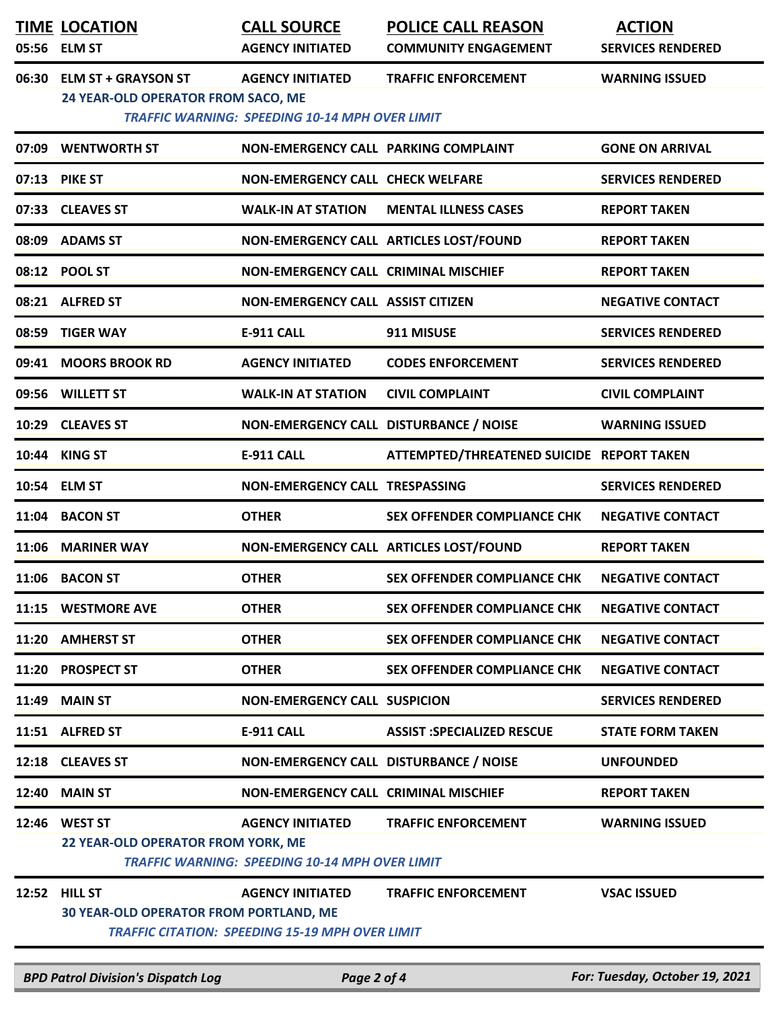|       | <b>TIME LOCATION</b><br>05:56 ELM ST                            | <b>CALL SOURCE</b><br><b>AGENCY INITIATED</b>                                     | <b>POLICE CALL REASON</b><br><b>COMMUNITY ENGAGEMENT</b> | <b>ACTION</b><br><b>SERVICES RENDERED</b> |
|-------|-----------------------------------------------------------------|-----------------------------------------------------------------------------------|----------------------------------------------------------|-------------------------------------------|
|       | 06:30 ELM ST + GRAYSON ST<br>24 YEAR-OLD OPERATOR FROM SACO, ME | <b>AGENCY INITIATED</b><br><b>TRAFFIC WARNING: SPEEDING 10-14 MPH OVER LIMIT</b>  | <b>TRAFFIC ENFORCEMENT</b>                               | <b>WARNING ISSUED</b>                     |
|       | 07:09 WENTWORTH ST                                              | NON-EMERGENCY CALL PARKING COMPLAINT                                              |                                                          | <b>GONE ON ARRIVAL</b>                    |
|       | 07:13 PIKE ST                                                   | <b>NON-EMERGENCY CALL CHECK WELFARE</b>                                           |                                                          | <b>SERVICES RENDERED</b>                  |
|       | 07:33 CLEAVES ST                                                |                                                                                   | <b>WALK-IN AT STATION MENTAL ILLNESS CASES</b>           | <b>REPORT TAKEN</b>                       |
|       | 08:09 ADAMS ST                                                  | NON-EMERGENCY CALL ARTICLES LOST/FOUND                                            |                                                          | <b>REPORT TAKEN</b>                       |
|       | 08:12 POOL ST                                                   | NON-EMERGENCY CALL CRIMINAL MISCHIEF                                              |                                                          | <b>REPORT TAKEN</b>                       |
|       | 08:21 ALFRED ST                                                 | <b>NON-EMERGENCY CALL ASSIST CITIZEN</b>                                          |                                                          | <b>NEGATIVE CONTACT</b>                   |
|       | 08:59 TIGER WAY                                                 | <b>E-911 CALL</b>                                                                 | 911 MISUSE                                               | <b>SERVICES RENDERED</b>                  |
|       | 09:41 MOORS BROOK RD                                            | <b>AGENCY INITIATED</b>                                                           | <b>CODES ENFORCEMENT</b>                                 | <b>SERVICES RENDERED</b>                  |
|       | 09:56 WILLETT ST                                                | <b>WALK-IN AT STATION</b>                                                         | <b>CIVIL COMPLAINT</b>                                   | <b>CIVIL COMPLAINT</b>                    |
|       | 10:29 CLEAVES ST                                                | NON-EMERGENCY CALL DISTURBANCE / NOISE                                            |                                                          | <b>WARNING ISSUED</b>                     |
|       | 10:44 KING ST                                                   | E-911 CALL                                                                        | ATTEMPTED/THREATENED SUICIDE REPORT TAKEN                |                                           |
|       | 10:54 ELM ST                                                    | NON-EMERGENCY CALL TRESPASSING                                                    |                                                          | <b>SERVICES RENDERED</b>                  |
|       | 11:04 BACON ST                                                  | <b>OTHER</b>                                                                      | <b>SEX OFFENDER COMPLIANCE CHK</b>                       | <b>NEGATIVE CONTACT</b>                   |
| 11:06 | <b>MARINER WAY</b>                                              | NON-EMERGENCY CALL ARTICLES LOST/FOUND                                            |                                                          | <b>REPORT TAKEN</b>                       |
|       | 11:06 BACON ST                                                  | <b>OTHER</b>                                                                      | SEX OFFENDER COMPLIANCE CHK                              | <b>NEGATIVE CONTACT</b>                   |
|       | 11:15 WESTMORE AVE                                              | <b>OTHER</b>                                                                      | <b>SEX OFFENDER COMPLIANCE CHK</b>                       | <b>NEGATIVE CONTACT</b>                   |
|       | 11:20 AMHERST ST                                                | <b>OTHER</b>                                                                      | <b>SEX OFFENDER COMPLIANCE CHK</b>                       | <b>NEGATIVE CONTACT</b>                   |
|       | 11:20 PROSPECT ST                                               | <b>OTHER</b>                                                                      | <b>SEX OFFENDER COMPLIANCE CHK</b>                       | <b>NEGATIVE CONTACT</b>                   |
|       | 11:49 MAIN ST                                                   | <b>NON-EMERGENCY CALL SUSPICION</b>                                               |                                                          | <b>SERVICES RENDERED</b>                  |
|       | 11:51 ALFRED ST                                                 | <b>E-911 CALL</b>                                                                 | <b>ASSIST :SPECIALIZED RESCUE</b>                        | <b>STATE FORM TAKEN</b>                   |
|       | 12:18 CLEAVES ST                                                | NON-EMERGENCY CALL DISTURBANCE / NOISE                                            |                                                          | <b>UNFOUNDED</b>                          |
|       | <b>12:40 MAIN ST</b>                                            | NON-EMERGENCY CALL CRIMINAL MISCHIEF                                              |                                                          | <b>REPORT TAKEN</b>                       |
| 12:46 | <b>WEST ST</b><br>22 YEAR-OLD OPERATOR FROM YORK, ME            | <b>AGENCY INITIATED</b><br><b>TRAFFIC WARNING: SPEEDING 10-14 MPH OVER LIMIT</b>  | <b>TRAFFIC ENFORCEMENT</b>                               | <b>WARNING ISSUED</b>                     |
| 12:52 | <b>HILL ST</b><br><b>30 YEAR-OLD OPERATOR FROM PORTLAND, ME</b> | <b>AGENCY INITIATED</b><br><b>TRAFFIC CITATION: SPEEDING 15-19 MPH OVER LIMIT</b> | <b>TRAFFIC ENFORCEMENT</b>                               | <b>VSAC ISSUED</b>                        |

*BPD Patrol Division's Dispatch Log Page 2 of 4 For: Tuesday, October 19, 2021*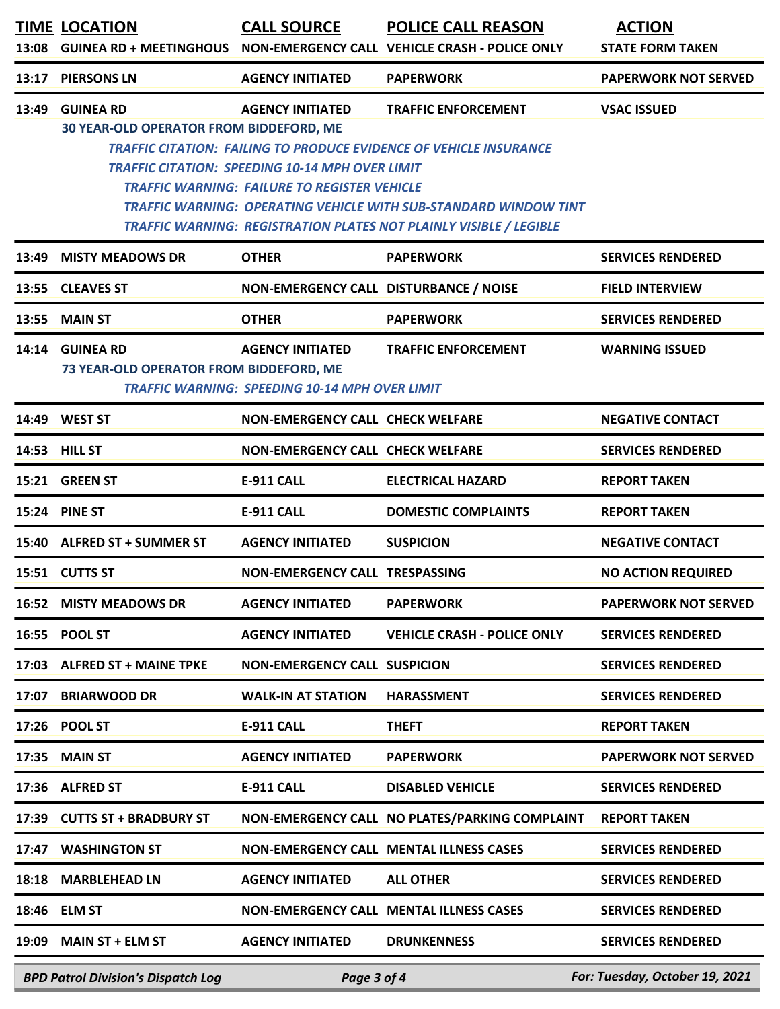|       | <b>TIME LOCATION</b>                                        | <b>CALL SOURCE</b>                                                                                                                       | <b>POLICE CALL REASON</b><br>13:08 GUINEA RD + MEETINGHOUS  NON-EMERGENCY CALL  VEHICLE CRASH - POLICE ONLY                                                                                                                                              | <b>ACTION</b><br><b>STATE FORM TAKEN</b> |
|-------|-------------------------------------------------------------|------------------------------------------------------------------------------------------------------------------------------------------|----------------------------------------------------------------------------------------------------------------------------------------------------------------------------------------------------------------------------------------------------------|------------------------------------------|
| 13:17 | <b>PIERSONS LN</b>                                          | <b>AGENCY INITIATED</b>                                                                                                                  | <b>PAPERWORK</b>                                                                                                                                                                                                                                         | <b>PAPERWORK NOT SERVED</b>              |
| 13:49 | <b>GUINEA RD</b><br>30 YEAR-OLD OPERATOR FROM BIDDEFORD, ME | <b>AGENCY INITIATED</b><br><b>TRAFFIC CITATION: SPEEDING 10-14 MPH OVER LIMIT</b><br><b>TRAFFIC WARNING: FAILURE TO REGISTER VEHICLE</b> | <b>TRAFFIC ENFORCEMENT</b><br><b>TRAFFIC CITATION: FAILING TO PRODUCE EVIDENCE OF VEHICLE INSURANCE</b><br><b>TRAFFIC WARNING: OPERATING VEHICLE WITH SUB-STANDARD WINDOW TINT</b><br>TRAFFIC WARNING: REGISTRATION PLATES NOT PLAINLY VISIBLE / LEGIBLE | <b>VSAC ISSUED</b>                       |
| 13:49 | <b>MISTY MEADOWS DR</b>                                     | <b>OTHER</b>                                                                                                                             | <b>PAPERWORK</b>                                                                                                                                                                                                                                         | <b>SERVICES RENDERED</b>                 |
|       | 13:55 CLEAVES ST                                            | NON-EMERGENCY CALL DISTURBANCE / NOISE                                                                                                   |                                                                                                                                                                                                                                                          | <b>FIELD INTERVIEW</b>                   |
| 13:55 | <b>MAIN ST</b>                                              | <b>OTHER</b>                                                                                                                             | <b>PAPERWORK</b>                                                                                                                                                                                                                                         | <b>SERVICES RENDERED</b>                 |
|       | 14:14 GUINEA RD<br>73 YEAR-OLD OPERATOR FROM BIDDEFORD, ME  | <b>AGENCY INITIATED</b><br><b>TRAFFIC WARNING: SPEEDING 10-14 MPH OVER LIMIT</b>                                                         | <b>TRAFFIC ENFORCEMENT</b>                                                                                                                                                                                                                               | <b>WARNING ISSUED</b>                    |
|       | 14:49 WEST ST                                               | <b>NON-EMERGENCY CALL CHECK WELFARE</b>                                                                                                  |                                                                                                                                                                                                                                                          | <b>NEGATIVE CONTACT</b>                  |
|       | 14:53 HILL ST                                               | <b>NON-EMERGENCY CALL CHECK WELFARE</b>                                                                                                  |                                                                                                                                                                                                                                                          | <b>SERVICES RENDERED</b>                 |
| 15:21 | <b>GREEN ST</b>                                             | E-911 CALL                                                                                                                               | <b>ELECTRICAL HAZARD</b>                                                                                                                                                                                                                                 | <b>REPORT TAKEN</b>                      |
|       | 15:24 PINE ST                                               | <b>E-911 CALL</b>                                                                                                                        | <b>DOMESTIC COMPLAINTS</b>                                                                                                                                                                                                                               | <b>REPORT TAKEN</b>                      |
|       | 15:40 ALFRED ST + SUMMER ST                                 | <b>AGENCY INITIATED</b>                                                                                                                  | <b>SUSPICION</b>                                                                                                                                                                                                                                         | <b>NEGATIVE CONTACT</b>                  |
|       | 15:51 CUTTS ST                                              | NON-EMERGENCY CALL TRESPASSING                                                                                                           |                                                                                                                                                                                                                                                          | <b>NO ACTION REQUIRED</b>                |
|       | <b>16:52 MISTY MEADOWS DR</b>                               | <b>AGENCY INITIATED</b>                                                                                                                  | <b>PAPERWORK</b>                                                                                                                                                                                                                                         | <b>PAPERWORK NOT SERVED</b>              |
|       | 16:55 POOL ST                                               | <b>AGENCY INITIATED</b>                                                                                                                  | <b>VEHICLE CRASH - POLICE ONLY</b>                                                                                                                                                                                                                       | <b>SERVICES RENDERED</b>                 |
|       | 17:03 ALFRED ST + MAINE TPKE                                | <b>NON-EMERGENCY CALL SUSPICION</b>                                                                                                      |                                                                                                                                                                                                                                                          | <b>SERVICES RENDERED</b>                 |
|       | 17:07 BRIARWOOD DR                                          | <b>WALK-IN AT STATION</b>                                                                                                                | <b>HARASSMENT</b>                                                                                                                                                                                                                                        | <b>SERVICES RENDERED</b>                 |
|       | 17:26 POOL ST                                               | E-911 CALL                                                                                                                               | <b>THEFT</b>                                                                                                                                                                                                                                             | <b>REPORT TAKEN</b>                      |
| 17:35 | <b>MAIN ST</b>                                              | <b>AGENCY INITIATED</b>                                                                                                                  | <b>PAPERWORK</b>                                                                                                                                                                                                                                         | <b>PAPERWORK NOT SERVED</b>              |
|       | 17:36 ALFRED ST                                             | <b>E-911 CALL</b>                                                                                                                        | <b>DISABLED VEHICLE</b>                                                                                                                                                                                                                                  | <b>SERVICES RENDERED</b>                 |
|       | 17:39 CUTTS ST + BRADBURY ST                                |                                                                                                                                          | NON-EMERGENCY CALL NO PLATES/PARKING COMPLAINT                                                                                                                                                                                                           | <b>REPORT TAKEN</b>                      |
|       | 17:47 WASHINGTON ST                                         |                                                                                                                                          | NON-EMERGENCY CALL MENTAL ILLNESS CASES                                                                                                                                                                                                                  | <b>SERVICES RENDERED</b>                 |
|       | 18:18 MARBLEHEAD LN                                         | <b>AGENCY INITIATED</b>                                                                                                                  | <b>ALL OTHER</b>                                                                                                                                                                                                                                         | <b>SERVICES RENDERED</b>                 |
|       | 18:46 ELM ST                                                |                                                                                                                                          | NON-EMERGENCY CALL MENTAL ILLNESS CASES                                                                                                                                                                                                                  | <b>SERVICES RENDERED</b>                 |
| 19:09 | <b>MAIN ST + ELM ST</b>                                     | <b>AGENCY INITIATED</b>                                                                                                                  | <b>DRUNKENNESS</b>                                                                                                                                                                                                                                       | <b>SERVICES RENDERED</b>                 |
|       | <b>BPD Patrol Division's Dispatch Log</b>                   | Page 3 of 4                                                                                                                              |                                                                                                                                                                                                                                                          | For: Tuesday, October 19, 2021           |